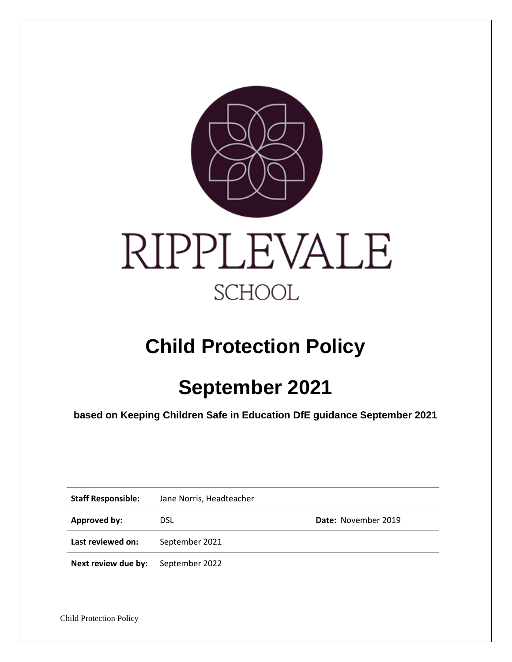

# **Child Protection Policy**

# **September 2021**

**based on Keeping Children Safe in Education DfE guidance September 2021**

| <b>Staff Responsible:</b> | Jane Norris, Headteacher |                            |
|---------------------------|--------------------------|----------------------------|
| Approved by:              | <b>DSL</b>               | <b>Date: November 2019</b> |
| Last reviewed on:         | September 2021           |                            |
| Next review due by:       | September 2022           |                            |

Child Protection Policy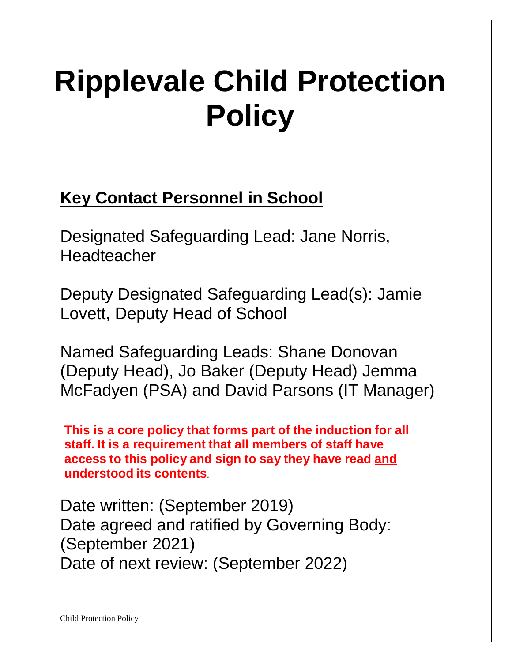# **Ripplevale Child Protection Policy**

# **Key Contact Personnel in School**

Designated Safeguarding Lead: Jane Norris, Headteacher

Deputy Designated Safeguarding Lead(s): Jamie Lovett, Deputy Head of School

Named Safeguarding Leads: Shane Donovan (Deputy Head), Jo Baker (Deputy Head) Jemma McFadyen (PSA) and David Parsons (IT Manager)

**This is a core policy that forms part of the induction for all staff. It is a requirement that all members of staff have access to this policy and sign to say they have read and understood its contents**.

Date written: (September 2019) Date agreed and ratified by Governing Body: (September 2021) Date of next review: (September 2022)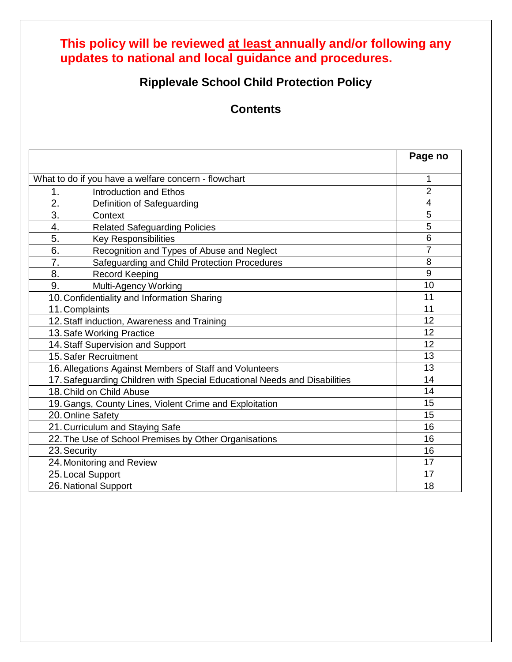# **This policy will be reviewed at least annually and/or following any updates to national and local guidance and procedures.**

# **Ripplevale School Child Protection Policy**

**Contents**

|                                                                           | Page no        |
|---------------------------------------------------------------------------|----------------|
| What to do if you have a welfare concern - flowchart                      | 1              |
| 1.<br><b>Introduction and Ethos</b>                                       | $\overline{2}$ |
| 2.<br>Definition of Safeguarding                                          | 4              |
| 3.<br>Context                                                             | 5              |
| 4.<br><b>Related Safeguarding Policies</b>                                | 5              |
| 5.<br><b>Key Responsibilities</b>                                         | 6              |
| 6.<br>Recognition and Types of Abuse and Neglect                          | $\overline{7}$ |
| 7.<br>Safeguarding and Child Protection Procedures                        | 8              |
| 8.<br><b>Record Keeping</b>                                               | 9              |
| 9.<br>Multi-Agency Working                                                | 10             |
| 10. Confidentiality and Information Sharing                               | 11             |
| 11. Complaints                                                            | 11             |
| 12. Staff induction, Awareness and Training                               | 12             |
| 13. Safe Working Practice                                                 | 12             |
| 14. Staff Supervision and Support                                         | 12             |
| 15. Safer Recruitment                                                     | 13             |
| 16. Allegations Against Members of Staff and Volunteers                   | 13             |
| 17. Safeguarding Children with Special Educational Needs and Disabilities | 14             |
| 18. Child on Child Abuse                                                  | 14             |
| 19. Gangs, County Lines, Violent Crime and Exploitation                   | 15             |
| 20. Online Safety                                                         | 15             |
| 21. Curriculum and Staying Safe                                           | 16             |
| 22. The Use of School Premises by Other Organisations                     | 16             |
| 23. Security                                                              | 16             |
| 24. Monitoring and Review                                                 | 17             |
| 25. Local Support                                                         | 17             |
| 26. National Support                                                      | 18             |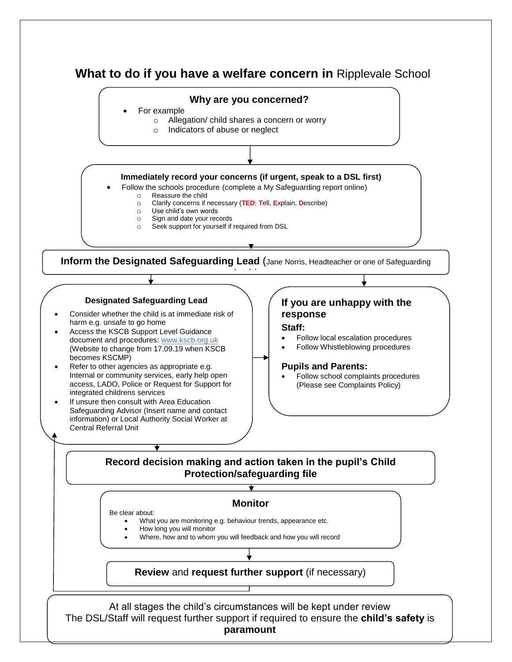# **What to do if you have a welfare concern in** Ripplevale School

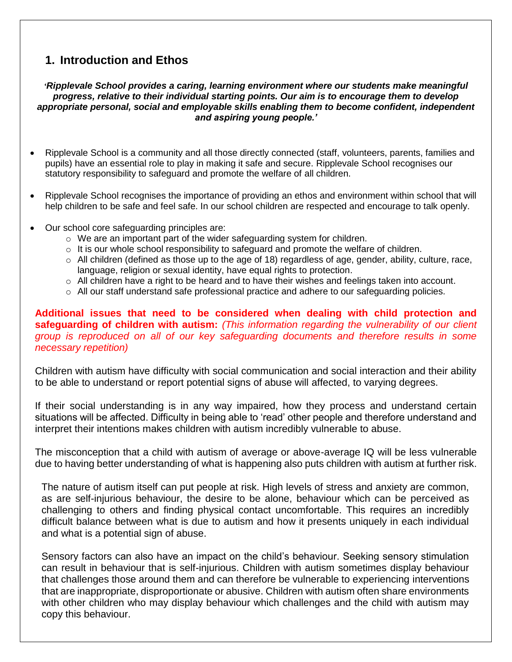# **1. Introduction and Ethos**

*'Ripplevale School provides a caring, learning environment where our students make meaningful progress, relative to their individual starting points. Our aim is to encourage them to develop appropriate personal, social and employable skills enabling them to become confident, independent and aspiring young people.'*

- Ripplevale School is a community and all those directly connected (staff, volunteers, parents, families and pupils) have an essential role to play in making it safe and secure. Ripplevale School recognises our statutory responsibility to safeguard and promote the welfare of all children.
- Ripplevale School recognises the importance of providing an ethos and environment within school that will help children to be safe and feel safe. In our school children are respected and encourage to talk openly.
- Our school core safeguarding principles are:
	- o We are an important part of the wider safeguarding system for children.
	- $\circ$  It is our whole school responsibility to safeguard and promote the welfare of children.
	- $\circ$  All children (defined as those up to the age of 18) regardless of age, gender, ability, culture, race, language, religion or sexual identity, have equal rights to protection.
	- $\circ$  All children have a right to be heard and to have their wishes and feelings taken into account.
	- $\circ$  All our staff understand safe professional practice and adhere to our safeguarding policies.

#### **Additional issues that need to be considered when dealing with child protection and safeguarding of children with autism:** *(This information regarding the vulnerability of our client group is reproduced on all of our key safeguarding documents and therefore results in some necessary repetition)*

Children with autism have difficulty with social communication and social interaction and their ability to be able to understand or report potential signs of abuse will affected, to varying degrees.

If their social understanding is in any way impaired, how they process and understand certain situations will be affected. Difficulty in being able to 'read' other people and therefore understand and interpret their intentions makes children with autism incredibly vulnerable to abuse.

The misconception that a child with autism of average or above-average IQ will be less vulnerable due to having better understanding of what is happening also puts children with autism at further risk.

The nature of autism itself can put people at risk. High levels of stress and anxiety are common, as are self-injurious behaviour, the desire to be alone, behaviour which can be perceived as challenging to others and finding physical contact uncomfortable. This requires an incredibly difficult balance between what is due to autism and how it presents uniquely in each individual and what is a potential sign of abuse.

Sensory factors can also have an impact on the child's behaviour. Seeking sensory stimulation can result in behaviour that is self-injurious. Children with autism sometimes display behaviour that challenges those around them and can therefore be vulnerable to experiencing interventions that are inappropriate, disproportionate or abusive. Children with autism often share environments with other children who may display behaviour which challenges and the child with autism may copy this behaviour.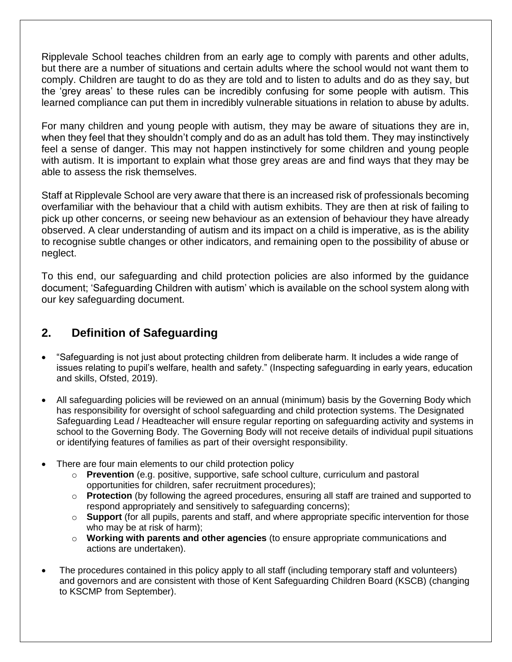Ripplevale School teaches children from an early age to comply with parents and other adults, but there are a number of situations and certain adults where the school would not want them to comply. Children are taught to do as they are told and to listen to adults and do as they say, but the 'grey areas' to these rules can be incredibly confusing for some people with autism. This learned compliance can put them in incredibly vulnerable situations in relation to abuse by adults.

For many children and young people with autism, they may be aware of situations they are in, when they feel that they shouldn't comply and do as an adult has told them. They may instinctively feel a sense of danger. This may not happen instinctively for some children and young people with autism. It is important to explain what those grey areas are and find ways that they may be able to assess the risk themselves.

Staff at Ripplevale School are very aware that there is an increased risk of professionals becoming overfamiliar with the behaviour that a child with autism exhibits. They are then at risk of failing to pick up other concerns, or seeing new behaviour as an extension of behaviour they have already observed. A clear understanding of autism and its impact on a child is imperative, as is the ability to recognise subtle changes or other indicators, and remaining open to the possibility of abuse or neglect.

To this end, our safeguarding and child protection policies are also informed by the guidance document; 'Safeguarding Children with autism' which is available on the school system along with our key safeguarding document.

# **2. Definition of Safeguarding**

- "Safeguarding is not just about protecting children from deliberate harm. It includes a wide range of issues relating to pupil's welfare, health and safety." (Inspecting safeguarding in early years, education and skills, Ofsted, 2019).
- All safeguarding policies will be reviewed on an annual (minimum) basis by the Governing Body which has responsibility for oversight of school safeguarding and child protection systems. The Designated Safeguarding Lead / Headteacher will ensure regular reporting on safeguarding activity and systems in school to the Governing Body. The Governing Body will not receive details of individual pupil situations or identifying features of families as part of their oversight responsibility.
- There are four main elements to our child protection policy
	- o **Prevention** (e.g. positive, supportive, safe school culture, curriculum and pastoral opportunities for children, safer recruitment procedures);
	- o **Protection** (by following the agreed procedures, ensuring all staff are trained and supported to respond appropriately and sensitively to safeguarding concerns);
	- o **Support** (for all pupils, parents and staff, and where appropriate specific intervention for those who may be at risk of harm);
	- o **Working with parents and other agencies** (to ensure appropriate communications and actions are undertaken).
- The procedures contained in this policy apply to all staff (including temporary staff and volunteers) and governors and are consistent with those of Kent Safeguarding Children Board (KSCB) (changing to KSCMP from September).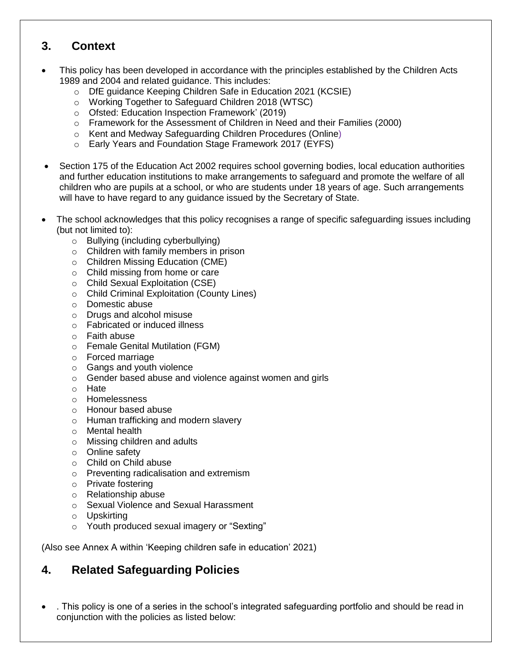#### **3. Context**

- This policy has been developed in accordance with the principles established by the Children Acts 1989 and 2004 and related guidance. This includes:
	- o DfE guidance Keeping Children Safe in Education 2021 (KCSIE)
	- o Working Together to Safeguard Children 2018 (WTSC)
	- o Ofsted: Education Inspection Framework' (2019)
	- $\circ$  Framework for the Assessment of Children in Need and their Families (2000)
	- o Kent and Medway Safeguarding Children Procedures (Online)
	- o Early Years and Foundation Stage Framework 2017 (EYFS)
- Section 175 of the Education Act 2002 requires school governing bodies, local education authorities and further education institutions to make arrangements to safeguard and promote the welfare of all children who are pupils at a school, or who are students under 18 years of age. Such arrangements will have to have regard to any guidance issued by the Secretary of State.
- The school acknowledges that this policy recognises a range of specific safeguarding issues including (but not limited to):
	- o Bullying (including cyberbullying)
	- o Children with family members in prison
	- o Children Missing Education (CME)
	- o Child missing from home or care
	- o Child Sexual Exploitation (CSE)
	- o Child Criminal Exploitation (County Lines)
	- o Domestic abuse
	- o Drugs and alcohol misuse
	- o Fabricated or induced illness
	- o Faith abuse
	- o Female Genital Mutilation (FGM)
	- o Forced marriage
	- o Gangs and youth violence
	- o Gender based abuse and violence against women and girls
	- o Hate
	- o Homelessness
	- o Honour based abuse
	- o Human trafficking and modern slavery
	- o Mental health
	- o Missing children and adults
	- o Online safety
	- o Child on Child abuse
	- o Preventing radicalisation and extremism
	- o Private fostering
	- o Relationship abuse
	- o Sexual Violence and Sexual Harassment
	- o Upskirting
	- o Youth produced sexual imagery or "Sexting"

(Also see Annex A within 'Keeping children safe in education' 2021)

# **4. Related Safeguarding Policies**

• . This policy is one of a series in the school's integrated safeguarding portfolio and should be read in conjunction with the policies as listed below: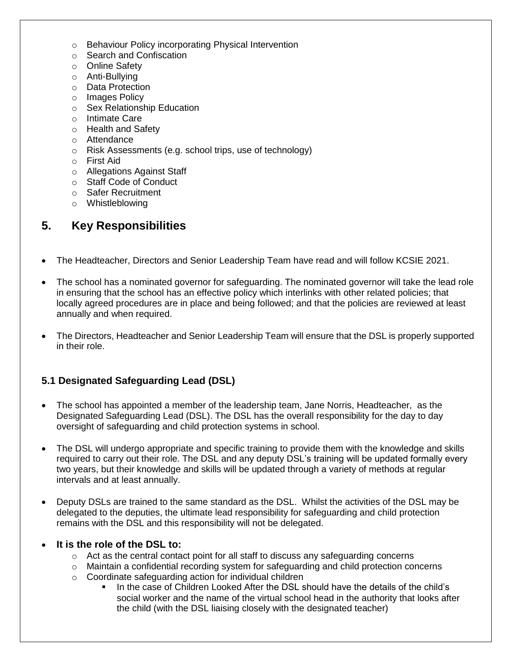- o Behaviour Policy incorporating Physical Intervention
- o Search and Confiscation
- o Online Safety
- o Anti-Bullying
- o Data Protection
- o Images Policy
- o Sex Relationship Education
- o Intimate Care
- o Health and Safety
- o Attendance
- o Risk Assessments (e.g. school trips, use of technology)
- o First Aid
- o Allegations Against Staff
- o Staff Code of Conduct
- o Safer Recruitment
- o Whistleblowing

# **5. Key Responsibilities**

- The Headteacher, Directors and Senior Leadership Team have read and will follow KCSIE 2021.
- The school has a nominated governor for safeguarding. The nominated governor will take the lead role in ensuring that the school has an effective policy which interlinks with other related policies; that locally agreed procedures are in place and being followed; and that the policies are reviewed at least annually and when required.
- The Directors, Headteacher and Senior Leadership Team will ensure that the DSL is properly supported in their role.

#### **5.1 Designated Safeguarding Lead (DSL)**

- The school has appointed a member of the leadership team, Jane Norris, Headteacher, as the Designated Safeguarding Lead (DSL). The DSL has the overall responsibility for the day to day oversight of safeguarding and child protection systems in school.
- The DSL will undergo appropriate and specific training to provide them with the knowledge and skills required to carry out their role. The DSL and any deputy DSL's training will be updated formally every two years, but their knowledge and skills will be updated through a variety of methods at regular intervals and at least annually.
- Deputy DSLs are trained to the same standard as the DSL. Whilst the activities of the DSL may be delegated to the deputies, the ultimate lead responsibility for safeguarding and child protection remains with the DSL and this responsibility will not be delegated.

#### • **It is the role of the DSL to:**

- $\circ$  Act as the central contact point for all staff to discuss any safeguarding concerns
- $\circ$  Maintain a confidential recording system for safeguarding and child protection concerns
- o Coordinate safeguarding action for individual children
	- In the case of Children Looked After the DSL should have the details of the child's social worker and the name of the virtual school head in the authority that looks after the child (with the DSL liaising closely with the designated teacher)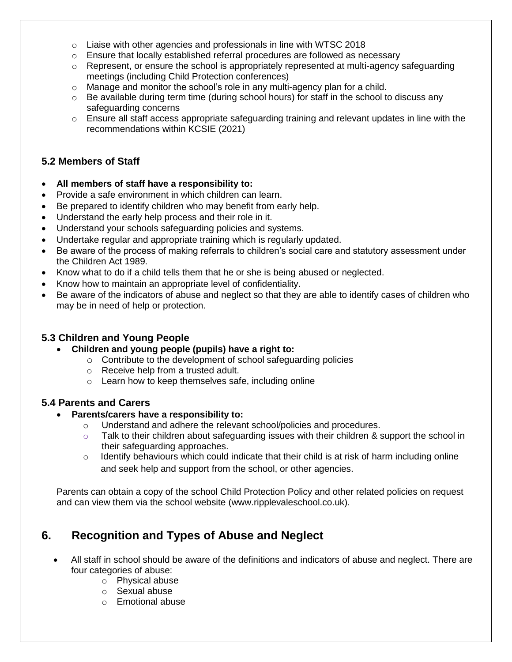- $\circ$  Liaise with other agencies and professionals in line with WTSC 2018
- $\circ$  Ensure that locally established referral procedures are followed as necessary
- $\circ$  Represent, or ensure the school is appropriately represented at multi-agency safeguarding meetings (including Child Protection conferences)
- $\circ$  Manage and monitor the school's role in any multi-agency plan for a child.
- o Be available during term time (during school hours) for staff in the school to discuss any safeguarding concerns
- $\circ$  Ensure all staff access appropriate safeguarding training and relevant updates in line with the recommendations within KCSIE (2021)

#### **5.2 Members of Staff**

- **All members of staff have a responsibility to:**
- Provide a safe environment in which children can learn.
- Be prepared to identify children who may benefit from early help.
- Understand the early help process and their role in it.
- Understand your schools safeguarding policies and systems.
- Undertake regular and appropriate training which is regularly updated.
- Be aware of the process of making referrals to children's social care and statutory assessment under the Children Act 1989.
- Know what to do if a child tells them that he or she is being abused or neglected.
- Know how to maintain an appropriate level of confidentiality.
- Be aware of the indicators of abuse and neglect so that they are able to identify cases of children who may be in need of help or protection.

#### **5.3 Children and Young People**

- **Children and young people (pupils) have a right to:**
	- o Contribute to the development of school safeguarding policies
	- o Receive help from a trusted adult.
	- o Learn how to keep themselves safe, including online

#### **5.4 Parents and Carers**

#### • **Parents/carers have a responsibility to:**

- o Understand and adhere the relevant school/policies and procedures.
- $\circ$  Talk to their children about safeguarding issues with their children & support the school in their safeguarding approaches.
- $\circ$  Identify behaviours which could indicate that their child is at risk of harm including online and seek help and support from the school, or other agencies.

Parents can obtain a copy of the school Child Protection Policy and other related policies on request and can view them via the school website (www.ripplevaleschool.co.uk).

# **6. Recognition and Types of Abuse and Neglect**

- All staff in school should be aware of the definitions and indicators of abuse and neglect. There are four categories of abuse:
	- o Physical abuse
	- o Sexual abuse
	- o Emotional abuse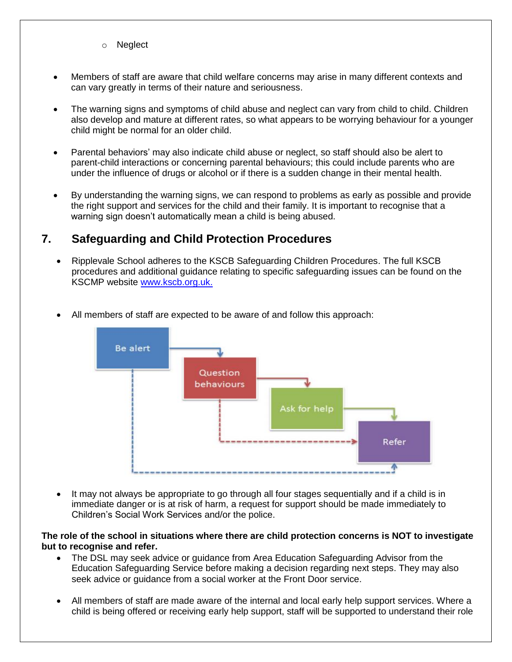- o Neglect
- Members of staff are aware that child welfare concerns may arise in many different contexts and can vary greatly in terms of their nature and seriousness.
- The warning signs and symptoms of child abuse and neglect can vary from child to child. Children also develop and mature at different rates, so what appears to be worrying behaviour for a younger child might be normal for an older child.
- Parental behaviors' may also indicate child abuse or neglect, so staff should also be alert to parent-child interactions or concerning parental behaviours; this could include parents who are under the influence of drugs or alcohol or if there is a sudden change in their mental health.
- By understanding the warning signs, we can respond to problems as early as possible and provide the right support and services for the child and their family. It is important to recognise that a warning sign doesn't automatically mean a child is being abused.

#### **7. Safeguarding and Child Protection Procedures**

• Ripplevale School adheres to the KSCB Safeguarding Children Procedures. The full KSCB procedures and additional guidance relating to specific safeguarding issues can be found on the KSCMP website [www.kscb.org.uk.](http://www.kscb.org.uk/)



• All members of staff are expected to be aware of and follow this approach:

• It may not always be appropriate to go through all four stages sequentially and if a child is in immediate danger or is at risk of harm, a request for support should be made immediately to Children's Social Work Services and/or the police.

**The role of the school in situations where there are child protection concerns is NOT to investigate but to recognise and refer.**

- The DSL may seek advice or guidance from Area Education Safeguarding Advisor from the Education Safeguarding Service before making a decision regarding next steps. They may also seek advice or guidance from a social worker at the Front Door service.
- All members of staff are made aware of the internal and local early help support services. Where a child is being offered or receiving early help support, staff will be supported to understand their role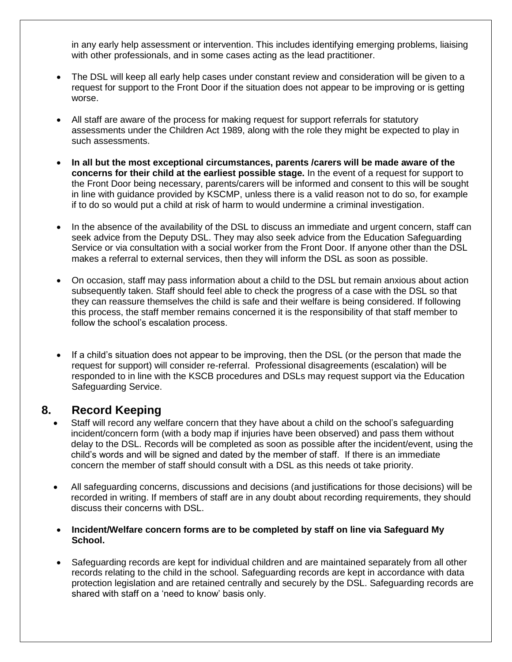in any early help assessment or intervention. This includes identifying emerging problems, liaising with other professionals, and in some cases acting as the lead practitioner.

- The DSL will keep all early help cases under constant review and consideration will be given to a request for support to the Front Door if the situation does not appear to be improving or is getting worse.
- All staff are aware of the process for making request for support referrals for statutory assessments under the Children Act 1989, along with the role they might be expected to play in such assessments.
- **In all but the most exceptional circumstances, parents /carers will be made aware of the concerns for their child at the earliest possible stage.** In the event of a request for support to the Front Door being necessary, parents/carers will be informed and consent to this will be sought in line with guidance provided by KSCMP, unless there is a valid reason not to do so, for example if to do so would put a child at risk of harm to would undermine a criminal investigation.
- In the absence of the availability of the DSL to discuss an immediate and urgent concern, staff can seek advice from the Deputy DSL. They may also seek advice from the Education Safeguarding Service or via consultation with a social worker from the Front Door. If anyone other than the DSL makes a referral to external services, then they will inform the DSL as soon as possible.
- On occasion, staff may pass information about a child to the DSL but remain anxious about action subsequently taken. Staff should feel able to check the progress of a case with the DSL so that they can reassure themselves the child is safe and their welfare is being considered. If following this process, the staff member remains concerned it is the responsibility of that staff member to follow the school's escalation process.
- If a child's situation does not appear to be improving, then the DSL (or the person that made the request for support) will consider re-referral. Professional disagreements (escalation) will be responded to in line with the KSCB procedures and DSLs may request support via the Education Safeguarding Service.

#### **8. Record Keeping**

- Staff will record any welfare concern that they have about a child on the school's safeguarding incident/concern form (with a body map if injuries have been observed) and pass them without delay to the DSL. Records will be completed as soon as possible after the incident/event, using the child's words and will be signed and dated by the member of staff. If there is an immediate concern the member of staff should consult with a DSL as this needs ot take priority.
- All safeguarding concerns, discussions and decisions (and justifications for those decisions) will be recorded in writing. If members of staff are in any doubt about recording requirements, they should discuss their concerns with DSL.
- **Incident/Welfare concern forms are to be completed by staff on line via Safeguard My School.**
- Safeguarding records are kept for individual children and are maintained separately from all other records relating to the child in the school. Safeguarding records are kept in accordance with data protection legislation and are retained centrally and securely by the DSL. Safeguarding records are shared with staff on a 'need to know' basis only.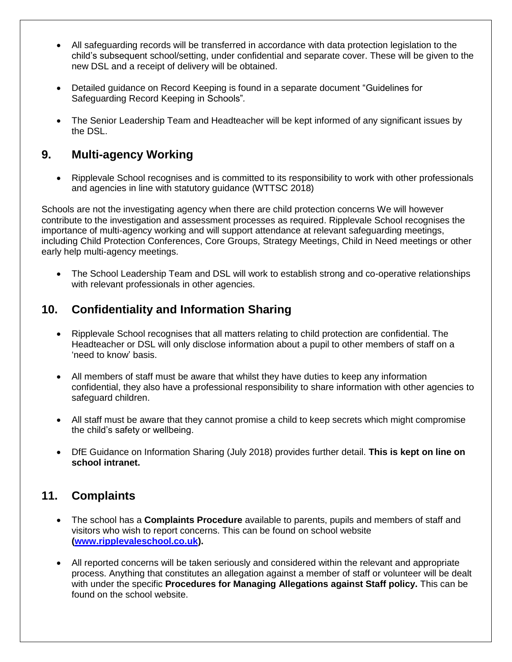- All safeguarding records will be transferred in accordance with data protection legislation to the child's subsequent school/setting, under confidential and separate cover. These will be given to the new DSL and a receipt of delivery will be obtained.
- Detailed guidance on Record Keeping is found in a separate document "Guidelines for Safeguarding Record Keeping in Schools"*.*
- The Senior Leadership Team and Headteacher will be kept informed of any significant issues by the DSL.

# **9. Multi-agency Working**

• Ripplevale School recognises and is committed to its responsibility to work with other professionals and agencies in line with statutory guidance (WTTSC 2018)

Schools are not the investigating agency when there are child protection concerns We will however contribute to the investigation and assessment processes as required. Ripplevale School recognises the importance of multi-agency working and will support attendance at relevant safeguarding meetings, including Child Protection Conferences, Core Groups, Strategy Meetings, Child in Need meetings or other early help multi-agency meetings.

• The School Leadership Team and DSL will work to establish strong and co-operative relationships with relevant professionals in other agencies.

# **10. Confidentiality and Information Sharing**

- Ripplevale School recognises that all matters relating to child protection are confidential. The Headteacher or DSL will only disclose information about a pupil to other members of staff on a 'need to know' basis.
- All members of staff must be aware that whilst they have duties to keep any information confidential, they also have a professional responsibility to share information with other agencies to safeguard children.
- All staff must be aware that they cannot promise a child to keep secrets which might compromise the child's safety or wellbeing.
- DfE Guidance on Information Sharing (July 2018) provides further detail. **This is kept on line on school intranet.**

#### **11. Complaints**

- The school has a **Complaints Procedure** available to parents, pupils and members of staff and visitors who wish to report concerns. This can be found on school website **[\(www.ripplevaleschool.co.uk\)](http://www.ripplevaleschool.co.uk/).**
- All reported concerns will be taken seriously and considered within the relevant and appropriate process. Anything that constitutes an allegation against a member of staff or volunteer will be dealt with under the specific **Procedures for Managing Allegations against Staff policy.** This can be found on the school website.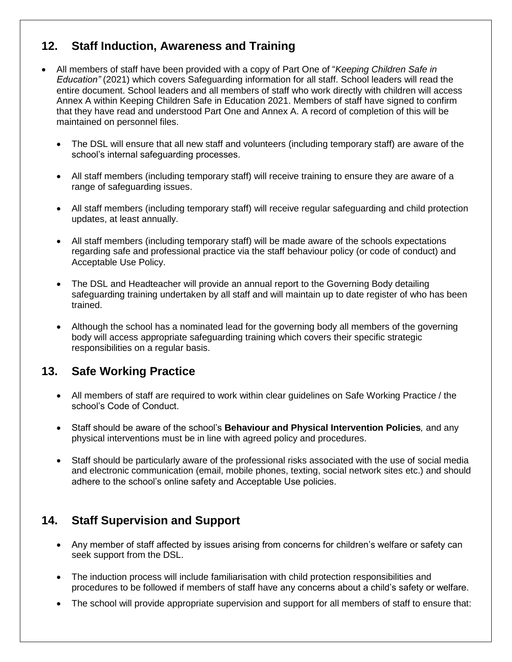## **12. Staff Induction, Awareness and Training**

- All members of staff have been provided with a copy of Part One of "*Keeping Children Safe in Education"* (2021) which covers Safeguarding information for all staff. School leaders will read the entire document. School leaders and all members of staff who work directly with children will access Annex A within Keeping Children Safe in Education 2021. Members of staff have signed to confirm that they have read and understood Part One and Annex A. A record of completion of this will be maintained on personnel files.
	- The DSL will ensure that all new staff and volunteers (including temporary staff) are aware of the school's internal safeguarding processes.
	- All staff members (including temporary staff) will receive training to ensure they are aware of a range of safeguarding issues.
	- All staff members (including temporary staff) will receive regular safeguarding and child protection updates, at least annually.
	- All staff members (including temporary staff) will be made aware of the schools expectations regarding safe and professional practice via the staff behaviour policy (or code of conduct) and Acceptable Use Policy.
	- The DSL and Headteacher will provide an annual report to the Governing Body detailing safeguarding training undertaken by all staff and will maintain up to date register of who has been trained.
	- Although the school has a nominated lead for the governing body all members of the governing body will access appropriate safeguarding training which covers their specific strategic responsibilities on a regular basis.

#### **13. Safe Working Practice**

- All members of staff are required to work within clear guidelines on Safe Working Practice / the school's Code of Conduct.
- Staff should be aware of the school's **Behaviour and Physical Intervention Policies***,* and any physical interventions must be in line with agreed policy and procedures.
- Staff should be particularly aware of the professional risks associated with the use of social media and electronic communication (email, mobile phones, texting, social network sites etc.) and should adhere to the school's online safety and Acceptable Use policies.

# **14. Staff Supervision and Support**

- Any member of staff affected by issues arising from concerns for children's welfare or safety can seek support from the DSL.
- The induction process will include familiarisation with child protection responsibilities and procedures to be followed if members of staff have any concerns about a child's safety or welfare.
- The school will provide appropriate supervision and support for all members of staff to ensure that: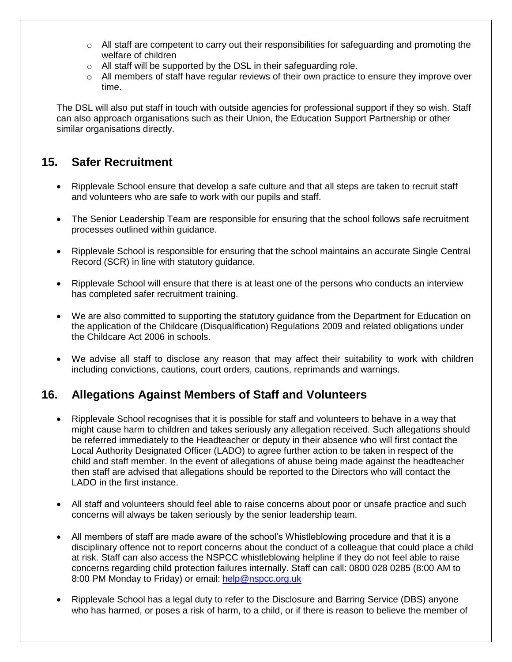- $\circ$  All staff are competent to carry out their responsibilities for safeguarding and promoting the welfare of children
- o All staff will be supported by the DSL in their safeguarding role.
- $\circ$  All members of staff have regular reviews of their own practice to ensure they improve over time.

The DSL will also put staff in touch with outside agencies for professional support if they so wish. Staff can also approach organisations such as their Union, the Education Support Partnership or other similar organisations directly.

# **15. Safer Recruitment**

- Ripplevale School ensure that develop a safe culture and that all steps are taken to recruit staff and volunteers who are safe to work with our pupils and staff.
- The Senior Leadership Team are responsible for ensuring that the school follows safe recruitment processes outlined within guidance.
- Ripplevale School is responsible for ensuring that the school maintains an accurate Single Central Record (SCR) in line with statutory guidance.
- Ripplevale School will ensure that there is at least one of the persons who conducts an interview has completed safer recruitment training.
- We are also committed to supporting the statutory guidance from the Department for Education on the application of the Childcare (Disqualification) Regulations 2009 and related obligations under the Childcare Act 2006 in schools.
- We advise all staff to disclose any reason that may affect their suitability to work with children including convictions, cautions, court orders, cautions, reprimands and warnings.

# **16. Allegations Against Members of Staff and Volunteers**

- Ripplevale School recognises that it is possible for staff and volunteers to behave in a way that might cause harm to children and takes seriously any allegation received. Such allegations should be referred immediately to the Headteacher or deputy in their absence who will first contact the Local Authority Designated Officer (LADO) to agree further action to be taken in respect of the child and staff member. In the event of allegations of abuse being made against the headteacher then staff are advised that allegations should be reported to the Directors who will contact the LADO in the first instance.
- All staff and volunteers should feel able to raise concerns about poor or unsafe practice and such concerns will always be taken seriously by the senior leadership team.
- All members of staff are made aware of the school's Whistleblowing procedure and that it is a disciplinary offence not to report concerns about the conduct of a colleague that could place a child at risk. Staff can also access the NSPCC whistleblowing helpline if they do not feel able to raise concerns regarding child protection failures internally. Staff can call: 0800 028 0285 (8:00 AM to 8:00 PM Monday to Friday) or email: [help@nspcc.org.uk](mailto:help@nspcc.org.uk)
- Ripplevale School has a legal duty to refer to the Disclosure and Barring Service (DBS) anyone who has harmed, or poses a risk of harm, to a child, or if there is reason to believe the member of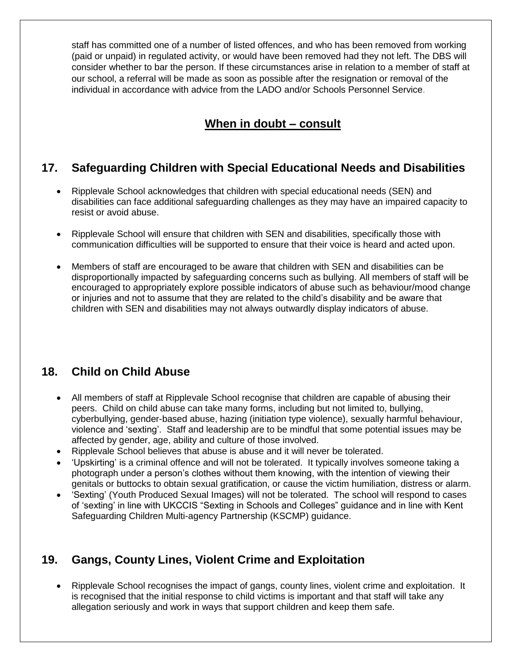staff has committed one of a number of listed offences, and who has been removed from working (paid or unpaid) in regulated activity, or would have been removed had they not left. The DBS will consider whether to bar the person. If these circumstances arise in relation to a member of staff at our school, a referral will be made as soon as possible after the resignation or removal of the individual in accordance with advice from the LADO and/or Schools Personnel Service.

# **When in doubt – consult**

#### **17. Safeguarding Children with Special Educational Needs and Disabilities**

- Ripplevale School acknowledges that children with special educational needs (SEN) and disabilities can face additional safeguarding challenges as they may have an impaired capacity to resist or avoid abuse.
- Ripplevale School will ensure that children with SEN and disabilities, specifically those with communication difficulties will be supported to ensure that their voice is heard and acted upon.
- Members of staff are encouraged to be aware that children with SEN and disabilities can be disproportionally impacted by safeguarding concerns such as bullying. All members of staff will be encouraged to appropriately explore possible indicators of abuse such as behaviour/mood change or injuries and not to assume that they are related to the child's disability and be aware that children with SEN and disabilities may not always outwardly display indicators of abuse.

# **18. Child on Child Abuse**

- All members of staff at Ripplevale School recognise that children are capable of abusing their peers. Child on child abuse can take many forms, including but not limited to, bullying, cyberbullying, gender-based abuse, hazing (initiation type violence), sexually harmful behaviour, violence and 'sexting'. Staff and leadership are to be mindful that some potential issues may be affected by gender, age, ability and culture of those involved.
- Ripplevale School believes that abuse is abuse and it will never be tolerated.
- 'Upskirting' is a criminal offence and will not be tolerated. It typically involves someone taking a photograph under a person's clothes without them knowing, with the intention of viewing their genitals or buttocks to obtain sexual gratification, or cause the victim humiliation, distress or alarm.
- 'Sexting' (Youth Produced Sexual Images) will not be tolerated. The school will respond to cases of 'sexting' in line with UKCCIS "Sexting in Schools and Colleges" guidance and in line with Kent Safeguarding Children Multi-agency Partnership (KSCMP) guidance.

# **19. Gangs, County Lines, Violent Crime and Exploitation**

• Ripplevale School recognises the impact of gangs, county lines, violent crime and exploitation. It is recognised that the initial response to child victims is important and that staff will take any allegation seriously and work in ways that support children and keep them safe.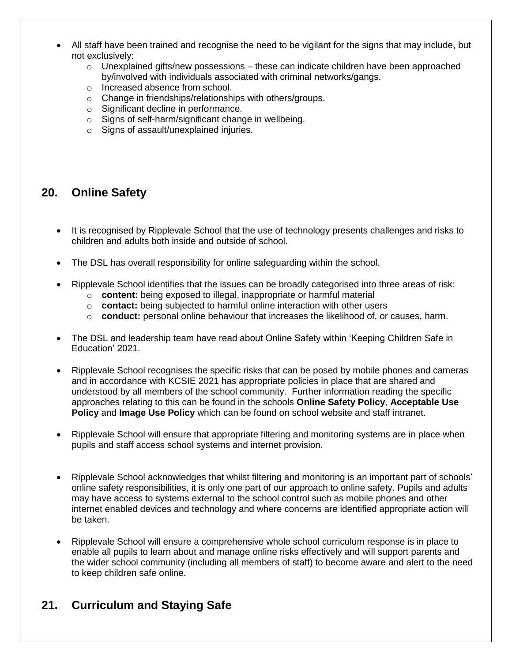- All staff have been trained and recognise the need to be vigilant for the signs that may include, but not exclusively:
	- $\circ$  Unexplained gifts/new possessions these can indicate children have been approached by/involved with individuals associated with criminal networks/gangs.
	- o Increased absence from school.
	- o Change in friendships/relationships with others/groups.
	- o Significant decline in performance.
	- o Signs of self-harm/significant change in wellbeing.
	- o Signs of assault/unexplained injuries.

#### **20. Online Safety**

- It is recognised by Ripplevale School that the use of technology presents challenges and risks to children and adults both inside and outside of school.
- The DSL has overall responsibility for online safeguarding within the school.
- Ripplevale School identifies that the issues can be broadly categorised into three areas of risk:
	- o **content:** being exposed to illegal, inappropriate or harmful material
	- o **contact:** being subjected to harmful online interaction with other users
	- o **conduct:** personal online behaviour that increases the likelihood of, or causes, harm.
- The DSL and leadership team have read about Online Safety within 'Keeping Children Safe in Education' 2021.
- Ripplevale School recognises the specific risks that can be posed by mobile phones and cameras and in accordance with KCSIE 2021 has appropriate policies in place that are shared and understood by all members of the school community. Further information reading the specific approaches relating to this can be found in the schools **Online Safety Policy**, **Acceptable Use Policy** and **Image Use Policy** which can be found on school website and staff intranet.
- Ripplevale School will ensure that appropriate filtering and monitoring systems are in place when pupils and staff access school systems and internet provision.
- Ripplevale School acknowledges that whilst filtering and monitoring is an important part of schools' online safety responsibilities, it is only one part of our approach to online safety. Pupils and adults may have access to systems external to the school control such as mobile phones and other internet enabled devices and technology and where concerns are identified appropriate action will be taken.
- Ripplevale School will ensure a comprehensive whole school curriculum response is in place to enable all pupils to learn about and manage online risks effectively and will support parents and the wider school community (including all members of staff) to become aware and alert to the need to keep children safe online.

#### **21. Curriculum and Staying Safe**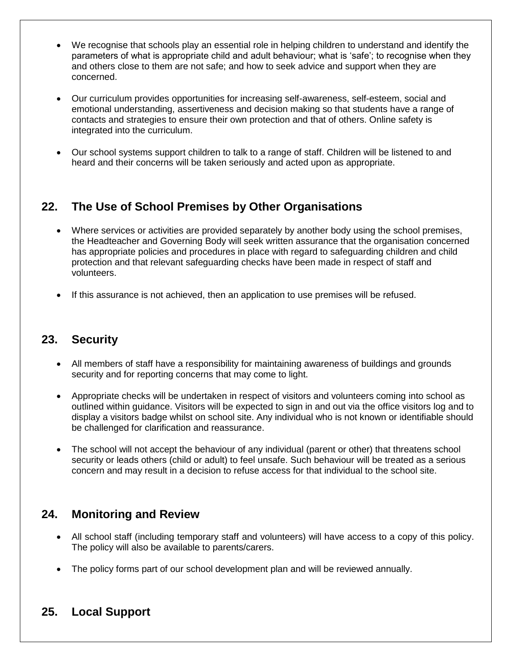- We recognise that schools play an essential role in helping children to understand and identify the parameters of what is appropriate child and adult behaviour; what is 'safe'; to recognise when they and others close to them are not safe; and how to seek advice and support when they are concerned.
- Our curriculum provides opportunities for increasing self-awareness, self-esteem, social and emotional understanding, assertiveness and decision making so that students have a range of contacts and strategies to ensure their own protection and that of others. Online safety is integrated into the curriculum.
- Our school systems support children to talk to a range of staff. Children will be listened to and heard and their concerns will be taken seriously and acted upon as appropriate.

# **22. The Use of School Premises by Other Organisations**

- Where services or activities are provided separately by another body using the school premises, the Headteacher and Governing Body will seek written assurance that the organisation concerned has appropriate policies and procedures in place with regard to safeguarding children and child protection and that relevant safeguarding checks have been made in respect of staff and volunteers.
- If this assurance is not achieved, then an application to use premises will be refused.

#### **23. Security**

- All members of staff have a responsibility for maintaining awareness of buildings and grounds security and for reporting concerns that may come to light.
- Appropriate checks will be undertaken in respect of visitors and volunteers coming into school as outlined within guidance. Visitors will be expected to sign in and out via the office visitors log and to display a visitors badge whilst on school site. Any individual who is not known or identifiable should be challenged for clarification and reassurance.
- The school will not accept the behaviour of any individual (parent or other) that threatens school security or leads others (child or adult) to feel unsafe. Such behaviour will be treated as a serious concern and may result in a decision to refuse access for that individual to the school site.

# **24. Monitoring and Review**

- All school staff (including temporary staff and volunteers) will have access to a copy of this policy. The policy will also be available to parents/carers.
- The policy forms part of our school development plan and will be reviewed annually.

# **25. Local Support**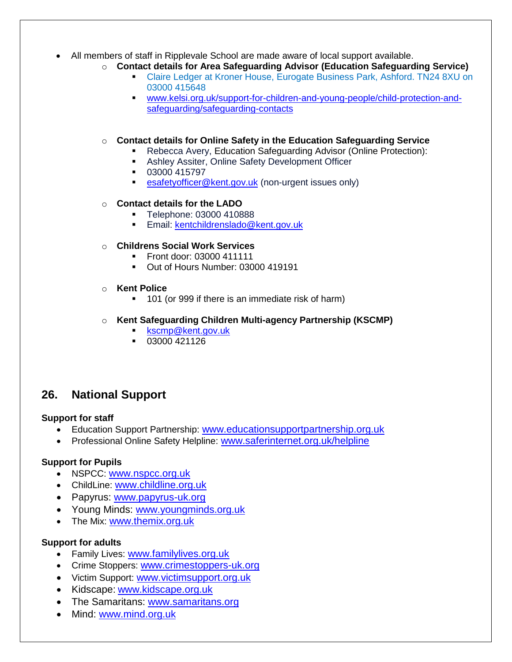#### • All members of staff in Ripplevale School are made aware of local support available.

- o **Contact details for Area Safeguarding Advisor (Education Safeguarding Service)**
	- Claire Ledger at Kroner House, Eurogate Business Park, Ashford. TN24 8XU on 03000 415648
	- [www.kelsi.org.uk/support-for-children-and-young-people/child-protection-and](http://www.kelsi.org.uk/support-for-children-and-young-people/child-protection-and-safeguarding/safeguarding-contacts)[safeguarding/safeguarding-contacts](http://www.kelsi.org.uk/support-for-children-and-young-people/child-protection-and-safeguarding/safeguarding-contacts)

#### o **Contact details for Online Safety in the Education Safeguarding Service**

- Rebecca Avery, Education Safeguarding Advisor (Online Protection):
- Ashley Assiter, Online Safety Development Officer
- 03000 415797
- **EXECTE:** [esafetyofficer@kent.gov.uk](mailto:esafetyofficer@kent.gov.uk) (non-urgent issues only)

#### o **Contact details for the LADO**

- Telephone: 03000 410888
- **Email:** [kentchildrenslado@kent.gov.uk](mailto:kentchildrenslado@kent.gov.uk)

#### o **Childrens Social Work Services**

- Front door: 03000 411111
- Out of Hours Number: 03000 419191
- o **Kent Police**
	- 101 (or 999 if there is an immediate risk of harm)

#### o **Kent Safeguarding Children Multi-agency Partnership (KSCMP)**

- [kscmp@kent.gov.uk](mailto:kscmp@kent.gov.uk)
- 03000 421126

#### **26. National Support**

#### **Support for staff**

- Education Support Partnership: [www.educationsupportpartnership.org.uk](http://www.educationsupportpartnership.org.uk/)
- Professional Online Safety Helpline: [www.saferinternet.org.uk/helpline](http://www.saferinternet.org.uk/helpline)

#### **Support for Pupils**

- NSPCC: [www.nspcc.org.uk](http://www.nspcc.org.uk/)
- ChildLine: [www.childline.org.uk](http://www.childline.org.uk/)
- Papyrus: [www.papyrus-uk.org](http://www.papyrus-uk.org/)
- Young Minds: [www.youngminds.org.uk](http://www.youngminds.org.uk/)
- The Mix: [www.themix.org.uk](http://www.themix.org.uk/)

#### **Support for adults**

- Family Lives: [www.familylives.org.uk](http://www.familylives.org.uk/)
- Crime Stoppers: [www.crimestoppers-uk.org](http://www.crimestoppers-uk.org/)
- Victim Support: [www.victimsupport.org.uk](http://www.victimsupport.org.uk/)
- Kidscape: [www.kidscape.org.uk](http://www.kidscape.org.uk/)
- The Samaritans: [www.samaritans.org](http://www.samaritans.org/)
- Mind: [www.mind.org.uk](http://www.mind.org.uk/)